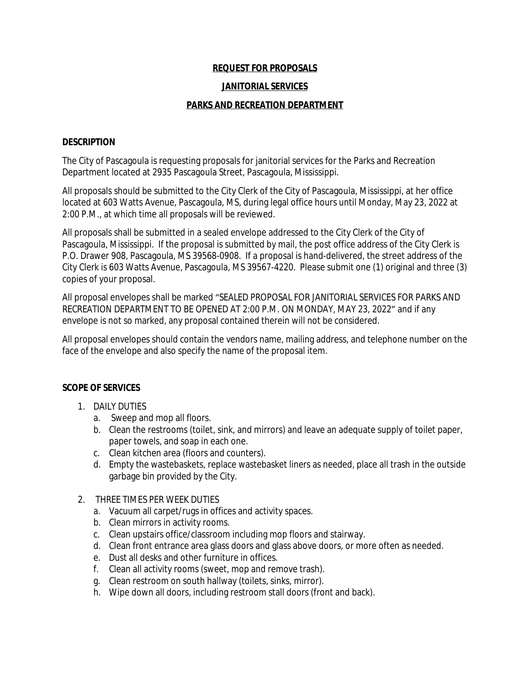## **REQUEST FOR PROPOSALS**

#### **JANITORIAL SERVICES**

## **PARKS AND RECREATION DEPARTMENT**

#### **DESCRIPTION**

The City of Pascagoula is requesting proposals for janitorial services for the Parks and Recreation Department located at 2935 Pascagoula Street, Pascagoula, Mississippi.

All proposals should be submitted to the City Clerk of the City of Pascagoula, Mississippi, at her office located at 603 Watts Avenue, Pascagoula, MS, during legal office hours until Monday, May 23, 2022 at 2:00 P.M., at which time all proposals will be reviewed.

All proposals shall be submitted in a sealed envelope addressed to the City Clerk of the City of Pascagoula, Mississippi. If the proposal is submitted by mail, the post office address of the City Clerk is P.O. Drawer 908, Pascagoula, MS 39568-0908. If a proposal is hand-delivered, the street address of the City Clerk is 603 Watts Avenue, Pascagoula, MS 39567-4220. Please submit one (1) original and three (3) copies of your proposal.

All proposal envelopes shall be marked "SEALED PROPOSAL FOR JANITORIAL SERVICES FOR PARKS AND RECREATION DEPARTMENT TO BE OPENED AT 2:00 P.M. ON MONDAY, MAY 23, 2022" and if any envelope is not so marked, any proposal contained therein will not be considered.

All proposal envelopes should contain the vendors name, mailing address, and telephone number on the face of the envelope and also specify the name of the proposal item.

# **SCOPE OF SERVICES**

- 1. DAILY DUTIES
	- a. Sweep and mop all floors.
	- b. Clean the restrooms (toilet, sink, and mirrors) and leave an adequate supply of toilet paper, paper towels, and soap in each one.
	- c. Clean kitchen area (floors and counters).
	- d. Empty the wastebaskets, replace wastebasket liners as needed, place all trash in the outside garbage bin provided by the City.
- 2. THREE TIMES PER WEEK DUTIES
	- a. Vacuum all carpet/rugs in offices and activity spaces.
	- b. Clean mirrors in activity rooms.
	- c. Clean upstairs office/classroom including mop floors and stairway.
	- d. Clean front entrance area glass doors and glass above doors, or more often as needed.
	- e. Dust all desks and other furniture in offices.
	- f. Clean all activity rooms (sweet, mop and remove trash).
	- g. Clean restroom on south hallway (toilets, sinks, mirror).
	- h. Wipe down all doors, including restroom stall doors (front and back).